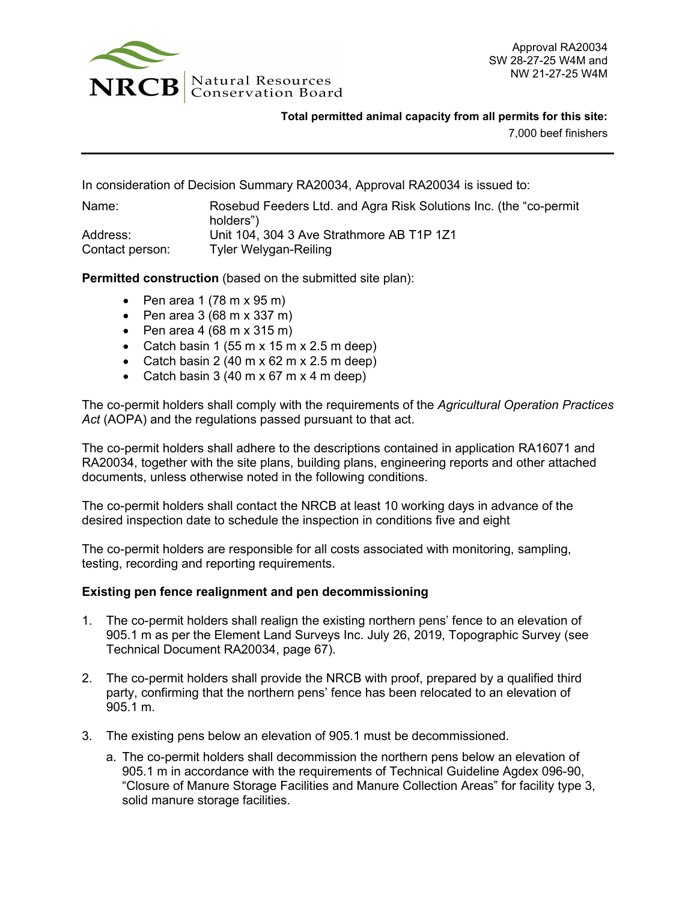

**Total permitted animal capacity from all permits for this site:**

7,000 beef finishers

In consideration of Decision Summary RA20034, Approval RA20034 is issued to:

| Name:           | Rosebud Feeders Ltd. and Agra Risk Solutions Inc. (the "co-permit" |
|-----------------|--------------------------------------------------------------------|
|                 | holders")                                                          |
| Address:        | Unit 104, 304 3 Ave Strathmore AB T1P 1Z1                          |
| Contact person: | Tyler Welygan-Reiling                                              |

**Permitted construction** (based on the submitted site plan):

- Pen area  $1(78 \text{ m} \times 95 \text{ m})$
- Pen area  $3(68 \text{ m} \times 337 \text{ m})$
- Pen area  $4(68 \text{ m} \times 315 \text{ m})$
- Catch basin 1 (55 m x 15 m x 2.5 m deep)
- Catch basin 2 (40 m x 62 m x 2.5 m deep)
- Catch basin  $3(40 \text{ m} \times 67 \text{ m} \times 4 \text{ m}$  deep)

The co-permit holders shall comply with the requirements of the *Agricultural Operation Practices Act* (AOPA) and the regulations passed pursuant to that act.

The co-permit holders shall adhere to the descriptions contained in application RA16071 and RA20034, together with the site plans, building plans, engineering reports and other attached documents, unless otherwise noted in the following conditions.

The co-permit holders shall contact the NRCB at least 10 working days in advance of the desired inspection date to schedule the inspection in conditions five and eight

The co-permit holders are responsible for all costs associated with monitoring, sampling, testing, recording and reporting requirements.

### **Existing pen fence realignment and pen decommissioning**

- 1. The co-permit holders shall realign the existing northern pens' fence to an elevation of 905.1 m as per the Element Land Surveys Inc. July 26, 2019, Topographic Survey (see Technical Document RA20034, page 67).
- 2. The co-permit holders shall provide the NRCB with proof, prepared by a qualified third party, confirming that the northern pens' fence has been relocated to an elevation of 905.1 m.
- 3. The existing pens below an elevation of 905.1 must be decommissioned.
	- a. The co-permit holders shall decommission the northern pens below an elevation of 905.1 m in accordance with the requirements of Technical Guideline Agdex 096-90, "Closure of Manure Storage Facilities and Manure Collection Areas" for facility type 3, solid manure storage facilities.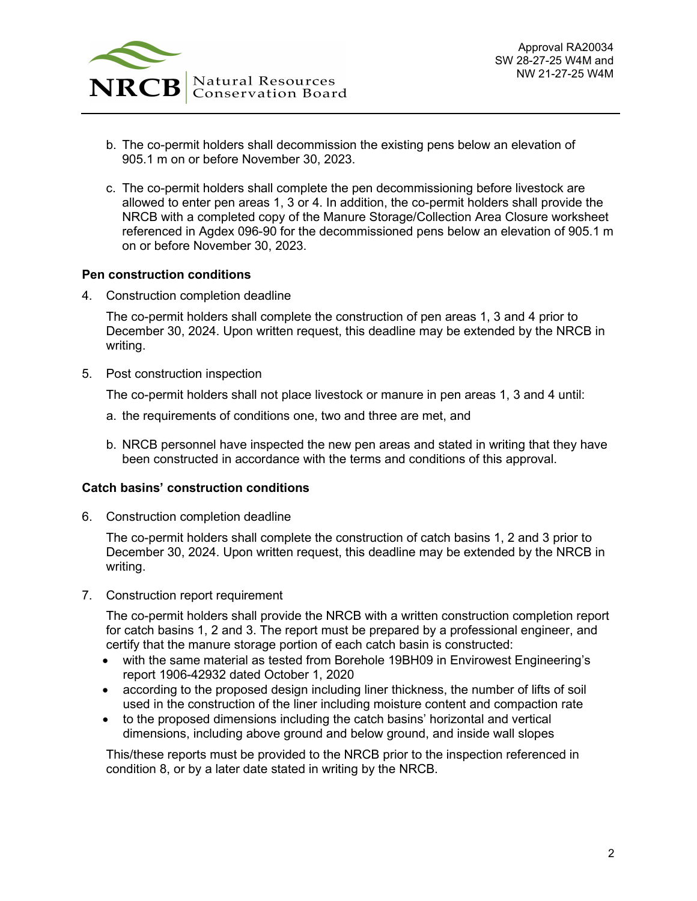

- b. The co-permit holders shall decommission the existing pens below an elevation of 905.1 m on or before November 30, 2023.
- c. The co-permit holders shall complete the pen decommissioning before livestock are allowed to enter pen areas 1, 3 or 4. In addition, the co-permit holders shall provide the NRCB with a completed copy of the Manure Storage/Collection Area Closure worksheet referenced in Agdex 096-90 for the decommissioned pens below an elevation of 905.1 m on or before November 30, 2023.

### **Pen construction conditions**

4. Construction completion deadline

The co-permit holders shall complete the construction of pen areas 1, 3 and 4 prior to December 30, 2024. Upon written request, this deadline may be extended by the NRCB in writing.

5. Post construction inspection

The co-permit holders shall not place livestock or manure in pen areas 1, 3 and 4 until:

- a. the requirements of conditions one, two and three are met, and
- b. NRCB personnel have inspected the new pen areas and stated in writing that they have been constructed in accordance with the terms and conditions of this approval.

### **Catch basins' construction conditions**

6. Construction completion deadline

The co-permit holders shall complete the construction of catch basins 1, 2 and 3 prior to December 30, 2024. Upon written request, this deadline may be extended by the NRCB in writing.

7. Construction report requirement

The co-permit holders shall provide the NRCB with a written construction completion report for catch basins 1, 2 and 3. The report must be prepared by a professional engineer, and certify that the manure storage portion of each catch basin is constructed:

- with the same material as tested from Borehole 19BH09 in Envirowest Engineering's report 1906-42932 dated October 1, 2020
- according to the proposed design including liner thickness, the number of lifts of soil used in the construction of the liner including moisture content and compaction rate
- to the proposed dimensions including the catch basins' horizontal and vertical dimensions, including above ground and below ground, and inside wall slopes

This/these reports must be provided to the NRCB prior to the inspection referenced in condition 8, or by a later date stated in writing by the NRCB.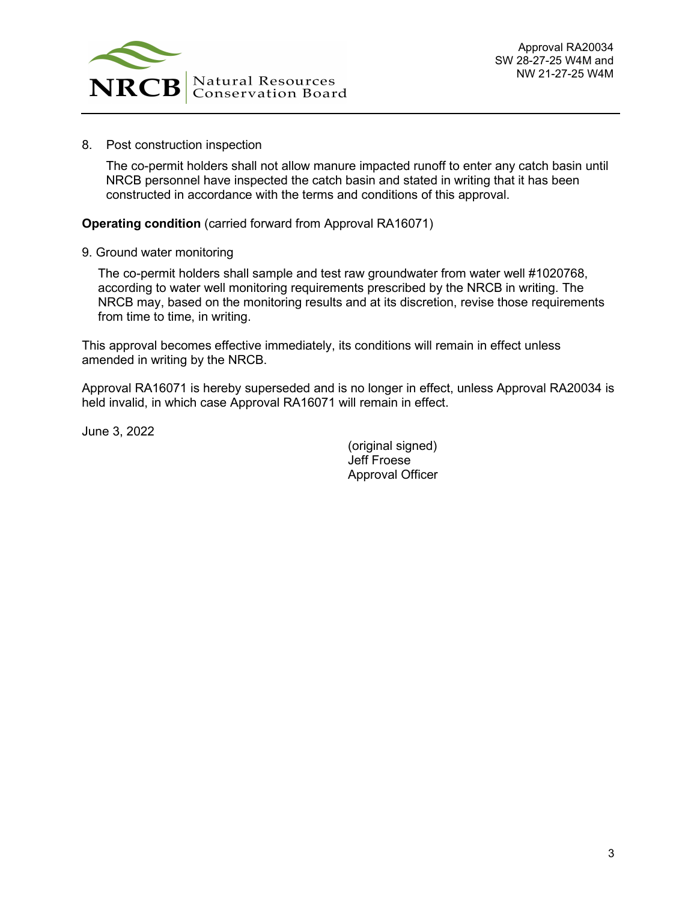

8. Post construction inspection

The co-permit holders shall not allow manure impacted runoff to enter any catch basin until NRCB personnel have inspected the catch basin and stated in writing that it has been constructed in accordance with the terms and conditions of this approval.

**Operating condition** (carried forward from Approval RA16071)

9. Ground water monitoring

The co-permit holders shall sample and test raw groundwater from water well #1020768, according to water well monitoring requirements prescribed by the NRCB in writing. The NRCB may, based on the monitoring results and at its discretion, revise those requirements from time to time, in writing.

This approval becomes effective immediately, its conditions will remain in effect unless amended in writing by the NRCB.

Approval RA16071 is hereby superseded and is no longer in effect, unless Approval RA20034 is held invalid, in which case Approval RA16071 will remain in effect.

June 3, 2022

(original signed) Jeff Froese Approval Officer